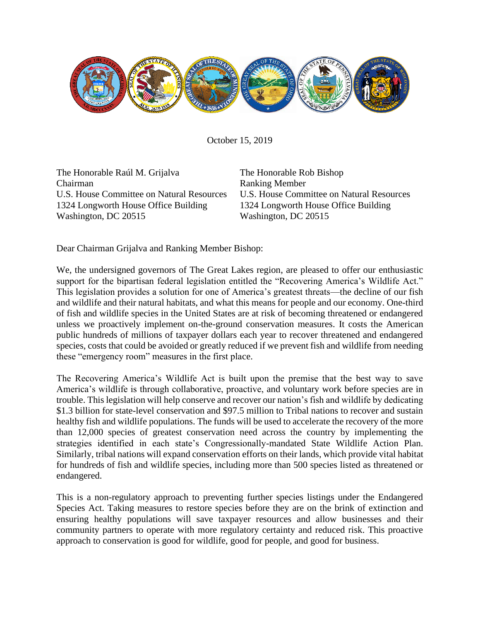

October 15, 2019

The Honorable Raúl M. Grijalva Chairman U.S. House Committee on Natural Resources 1324 Longworth House Office Building Washington, DC 20515

The Honorable Rob Bishop Ranking Member U.S. House Committee on Natural Resources 1324 Longworth House Office Building Washington, DC 20515

Dear Chairman Grijalva and Ranking Member Bishop:

We, the undersigned governors of The Great Lakes region, are pleased to offer our enthusiastic support for the bipartisan federal legislation entitled the "Recovering America's Wildlife Act." This legislation provides a solution for one of America's greatest threats—the decline of our fish and wildlife and their natural habitats, and what this means for people and our economy. One-third of fish and wildlife species in the United States are at risk of becoming threatened or endangered unless we proactively implement on-the-ground conservation measures. It costs the American public hundreds of millions of taxpayer dollars each year to recover threatened and endangered species, costs that could be avoided or greatly reduced if we prevent fish and wildlife from needing these "emergency room" measures in the first place.

The Recovering America's Wildlife Act is built upon the premise that the best way to save America's wildlife is through collaborative, proactive, and voluntary work before species are in trouble. This legislation will help conserve and recover our nation's fish and wildlife by dedicating \$1.3 billion for state-level conservation and \$97.5 million to Tribal nations to recover and sustain healthy fish and wildlife populations. The funds will be used to accelerate the recovery of the more than 12,000 species of greatest conservation need across the country by implementing the strategies identified in each state's Congressionally-mandated State Wildlife Action Plan. Similarly, tribal nations will expand conservation efforts on their lands, which provide vital habitat for hundreds of fish and wildlife species, including more than 500 species listed as threatened or endangered.

This is a non-regulatory approach to preventing further species listings under the Endangered Species Act. Taking measures to restore species before they are on the brink of extinction and ensuring healthy populations will save taxpayer resources and allow businesses and their community partners to operate with more regulatory certainty and reduced risk. This proactive approach to conservation is good for wildlife, good for people, and good for business.